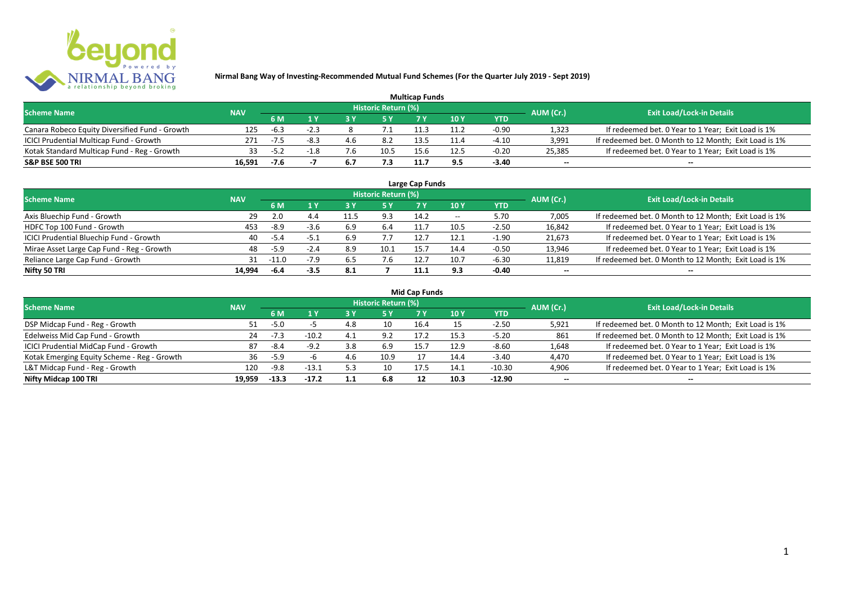

| <b>Multicap Funds</b>                          |            |        |        |     |                            |      |      |         |                          |                                                       |  |  |
|------------------------------------------------|------------|--------|--------|-----|----------------------------|------|------|---------|--------------------------|-------------------------------------------------------|--|--|
| <b>Scheme Name</b>                             | <b>NAV</b> |        |        |     | <b>Historic Return (%)</b> |      |      |         | AUM (Cr.)                | <b>Exit Load/Lock-in Details</b>                      |  |  |
|                                                |            | 6 M    |        |     |                            |      | 10Y  | YTD     |                          |                                                       |  |  |
| Canara Robeco Equity Diversified Fund - Growth | 125        | $-6.3$ | $-2.3$ |     |                            |      |      | $-0.90$ | 1,323                    | If redeemed bet. 0 Year to 1 Year; Exit Load is 1%    |  |  |
| ICICI Prudential Multicap Fund - Growth        | 271        | $-7.5$ | -8.3   | 4.6 | 8.2                        | 13.5 | 11.4 | $-4.10$ | 3,991                    | If redeemed bet. 0 Month to 12 Month; Exit Load is 1% |  |  |
| Kotak Standard Multicap Fund - Reg - Growth    | 33.        | $-5.2$ |        | '.6 | 10.5                       | 15.6 | 12.5 | $-0.20$ | 25,385                   | If redeemed bet. 0 Year to 1 Year; Exit Load is 1%    |  |  |
| S&P BSE 500 TRI                                | 16.591     | $-7.6$ |        | 6.7 | 7.3                        |      |      | $-3.40$ | $\overline{\phantom{a}}$ | $\overline{\phantom{a}}$                              |  |  |

| Large Cap Funds<br>Historic Return (%)    |            |         |        |      |      |      |       |            |                          |                                                       |  |  |  |
|-------------------------------------------|------------|---------|--------|------|------|------|-------|------------|--------------------------|-------------------------------------------------------|--|--|--|
| <b>Scheme Name</b>                        | <b>NAV</b> |         |        |      |      |      |       |            | AUM (Cr.)                | <b>Exit Load/Lock-in Details</b>                      |  |  |  |
|                                           |            | 6 M     | 1 Y    |      | 5 Y  |      | 10Y   | <b>YTD</b> |                          |                                                       |  |  |  |
| Axis Bluechip Fund - Growth               | 29         | 2.0     | 4.4    | 11.5 | 9.3  | 14.2 | $- -$ | 5.70       | 7,005                    | If redeemed bet. 0 Month to 12 Month; Exit Load is 1% |  |  |  |
| HDFC Top 100 Fund - Growth                | 453        | $-8.9$  | $-3.6$ | 6.9  | -6.4 | 11.7 | 10.5  | $-2.50$    | 16,842                   | If redeemed bet. 0 Year to 1 Year; Exit Load is 1%    |  |  |  |
| ICICI Prudential Bluechip Fund - Growth   | 40         | $-5.4$  | -5.1   | 6.9  | 7.7  |      | 12.1  | $-1.90$    | 21,673                   | If redeemed bet. 0 Year to 1 Year; Exit Load is 1%    |  |  |  |
| Mirae Asset Large Cap Fund - Reg - Growth | 48         | $-5.9$  | $-2.4$ | 8.9  | 10.1 | 15.7 | 14.4  | $-0.50$    | 13,946                   | If redeemed bet. 0 Year to 1 Year; Exit Load is 1%    |  |  |  |
| Reliance Large Cap Fund - Growth          | 31         | $-11.0$ | $-7.9$ | 6.5  |      |      | 10.7  | $-6.30$    | 11,819                   | If redeemed bet. 0 Month to 12 Month; Exit Load is 1% |  |  |  |
| Nifty 50 TRI                              | 14.994     | $-6.4$  | $-3.5$ | 8.1  |      | 11.1 | 9.3   | $-0.40$    | $\overline{\phantom{a}}$ | $\overline{\phantom{a}}$                              |  |  |  |

|  |  | <b>Mid Cap Funds</b> |
|--|--|----------------------|
|--|--|----------------------|

| <b>Scheme Name</b>                          | <b>NAV</b> |           |         |     | Historic Return (%) |      |      |            | AUM (Cr.)                | <b>Exit Load/Lock-in Details</b>                      |
|---------------------------------------------|------------|-----------|---------|-----|---------------------|------|------|------------|--------------------------|-------------------------------------------------------|
|                                             |            | <b>6M</b> |         | 3 Y | 5 Y                 | 7 V  | 10 Y | <b>YTD</b> |                          |                                                       |
| DSP Midcap Fund - Reg - Growth              | 51         | $-5.0$    |         | 4.8 | 10                  | 16.4 |      | $-2.50$    | 5,921                    | If redeemed bet. 0 Month to 12 Month; Exit Load is 1% |
| Edelweiss Mid Cap Fund - Growth             | 24         | $-7.3$    | $-10.2$ | 4.1 | 9.2                 | 17.2 | 15.3 | $-5.20$    | 861                      | If redeemed bet. 0 Month to 12 Month; Exit Load is 1% |
| ICICI Prudential MidCap Fund - Growth       | 87         | $-8.4$    | $-9.2$  | 3.8 | -6.9                | 15.7 | 12.9 | $-8.60$    | 1,648                    | If redeemed bet. 0 Year to 1 Year; Exit Load is 1%    |
| Kotak Emerging Equity Scheme - Reg - Growth | 36         | $-5.9$    |         |     | 10.9                |      | 14.4 | $-3.40$    | 4,470                    | If redeemed bet. 0 Year to 1 Year; Exit Load is 1%    |
| L&T Midcap Fund - Reg - Growth              | 120        | $-9.8$    | $-13.1$ | د.ر | 10                  | 17.5 | 14.1 | $-10.30$   | 4,906                    | If redeemed bet. 0 Year to 1 Year; Exit Load is 1%    |
| Nifty Midcap 100 TRI                        | 19.959     | $-13.3$   | $-17.2$ | 1.1 | 6.8                 |      | 10.3 | $-12.90$   | $\overline{\phantom{a}}$ | $\hspace{0.1mm}-\hspace{0.1mm}-\hspace{0.1mm}$        |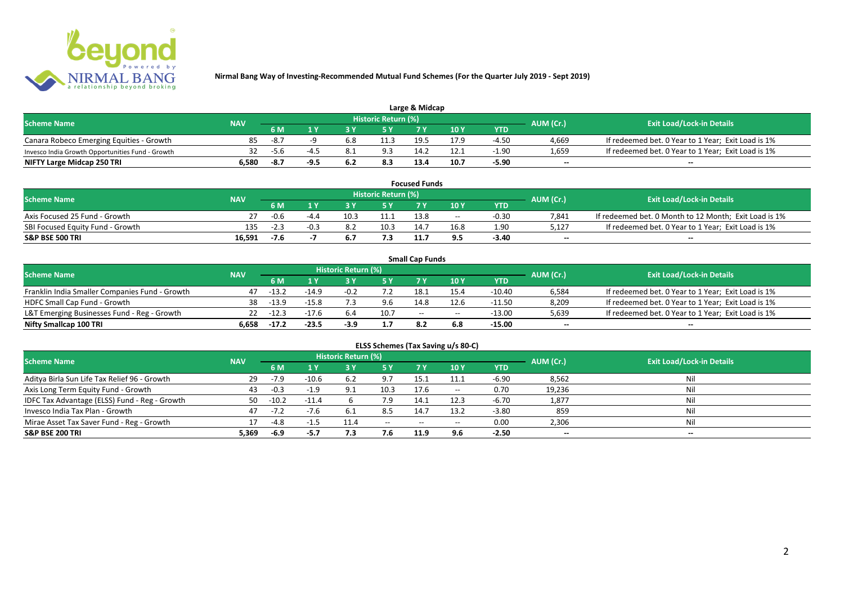

| Large & Midcap                                   |       |                          |  |     |                     |      |      |         |           |                                                    |  |  |
|--------------------------------------------------|-------|--------------------------|--|-----|---------------------|------|------|---------|-----------|----------------------------------------------------|--|--|
| <b>Scheme Name</b>                               |       |                          |  |     | Historic Return (%) |      |      |         | AUM (Cr.) | <b>Exit Load/Lock-in Details</b>                   |  |  |
|                                                  |       | <b>NAV</b><br>10Y<br>6 M |  |     | YTD                 |      |      |         |           |                                                    |  |  |
| Canara Robeco Emerging Equities - Growth         | 85    | -8.7                     |  | 6.8 | 11.3                | 19.5 | 17.9 | $-4.50$ | 4,669     | If redeemed bet. 0 Year to 1 Year; Exit Load is 1% |  |  |
| Invesco India Growth Opportunities Fund - Growth |       | ס.כ-                     |  |     | 9.3                 |      |      | $-1.90$ | 1,659     | If redeemed bet. 0 Year to 1 Year; Exit Load is 1% |  |  |
| NIFTY Large Midcap 250 TRI                       | 6.580 | -8.7                     |  |     | 8.3                 | 13.4 | 10.7 | $-5.90$ | $-$       | $- -$                                              |  |  |

| <b>Focused Funds</b>             |            |        |                                 |      |                     |      |       |         |                          |                                                       |  |
|----------------------------------|------------|--------|---------------------------------|------|---------------------|------|-------|---------|--------------------------|-------------------------------------------------------|--|
| <b>Scheme Name</b>               | <b>NAV</b> |        |                                 |      | Historic Return (%) |      |       |         | AUM (Cr.)                | <b>Exit Load/Lock-in Details</b>                      |  |
|                                  |            | 6 M    | 10 Y<br><b>YTD</b><br><b>EV</b> |      |                     |      |       |         |                          |                                                       |  |
| Axis Focused 25 Fund - Growth    |            | $-0.6$ |                                 | 10.3 | 11.1                | 13.8 | $- -$ | $-0.30$ | 7.841                    | If redeemed bet. 0 Month to 12 Month; Exit Load is 1% |  |
| SBI Focused Equity Fund - Growth | 135        | $-2.3$ | -0.3                            |      | 10.3                | 14.7 | 16.8  | 1.90    | 5.127                    | If redeemed bet. 0 Year to 1 Year; Exit Load is 1%    |  |
| <b>S&amp;P BSE 500 TRI</b>       | 16.591     | $-7.6$ |                                 |      |                     |      | 9.5   | -3.40   | $\overline{\phantom{a}}$ | $- -$                                                 |  |

|                                                |            |                           |         |                     |      | <b>Small Cap Funds</b> |                                       |          |                          |                                                    |
|------------------------------------------------|------------|---------------------------|---------|---------------------|------|------------------------|---------------------------------------|----------|--------------------------|----------------------------------------------------|
| <b>Scheme Name</b>                             | <b>NAV</b> |                           |         | Historic Return (%) |      |                        |                                       |          | AUM (Cr.)                | <b>Exit Load/Lock-in Details</b>                   |
|                                                |            | 10 Y<br><b>YTD</b><br>6 M |         |                     |      |                        |                                       |          |                          |                                                    |
| Franklin India Smaller Companies Fund - Growth | 47         | $-13.2$                   | $-14.9$ | $-0.2$              |      | 18.                    |                                       | $-10.40$ | 6,584                    | If redeemed bet. 0 Year to 1 Year; Exit Load is 1% |
| HDFC Small Cap Fund - Growth                   |            | 38 - 13.9                 | $-15.8$ |                     | 9.6  | 14.8                   | 12.6                                  | $-11.50$ | 8,209                    | If redeemed bet. 0 Year to 1 Year; Exit Load is 1% |
| L&T Emerging Businesses Fund - Reg - Growth    |            | $22 - 12.3$               | $-17.6$ | 6.4                 | 10.7 | $-$                    | $\hspace{0.05cm}$ – $\hspace{0.05cm}$ | $-13.00$ | 5,639                    | If redeemed bet. 0 Year to 1 Year; Exit Load is 1% |
| Nifty Smallcap 100 TRI                         | 6.658      | $-17.2$                   | $-23.5$ | -3.9                |      | 8.2                    |                                       | -15.00   | $\overline{\phantom{a}}$ | $-$                                                |

| ELSS Schemes (Tax Saving u/s 80-C)            |            |           |         |                            |           |           |       |            |                          |                                  |  |  |  |
|-----------------------------------------------|------------|-----------|---------|----------------------------|-----------|-----------|-------|------------|--------------------------|----------------------------------|--|--|--|
| <b>Scheme Name</b>                            | <b>NAV</b> |           |         | <b>Historic Return (%)</b> |           |           |       |            | AUM (Cr.)                | <b>Exit Load/Lock-in Details</b> |  |  |  |
|                                               |            | <b>6M</b> | 1 Y     | <b>3 Y</b>                 | <b>5Y</b> | <b>7Y</b> | 10 Y  | <b>YTD</b> |                          |                                  |  |  |  |
| Aditya Birla Sun Life Tax Relief 96 - Growth  | 29         | $-7.9$    | $-10.6$ | 6.2                        | 9.7       | 15.1      | 11.1  | $-6.90$    | 8,562                    | Nil                              |  |  |  |
| Axis Long Term Equity Fund - Growth           | 43         | $-0.3$    | $-1.9$  | Q 1                        | 10.3      | 17.6      | $- -$ | 0.70       | 19,236                   | Nil                              |  |  |  |
| IDFC Tax Advantage (ELSS) Fund - Reg - Growth | 50         | $-10.2$   | $-11.4$ |                            | 7.9       | 14.1      | 12.3  | $-6.70$    | 1,877                    | Nil                              |  |  |  |
| Invesco India Tax Plan - Growth               | 47         |           | $-7.6$  | 6.1                        | 8.5       | 14.7      | 13.2  | $-3.80$    | 859                      | Nil                              |  |  |  |
| Mirae Asset Tax Saver Fund - Reg - Growth     |            | $-4.8$    |         | .                          | $- -$     | $- -$     | $- -$ | 0.00       | 2,306                    | Nil                              |  |  |  |
| <b>S&amp;P BSE 200 TRI</b>                    | 5,369      | -6.9      | $-5.7$  | 7.3                        | 7.6       | 11.9      | 9.6   | $-2.50$    | $\overline{\phantom{a}}$ | $\overline{\phantom{a}}$         |  |  |  |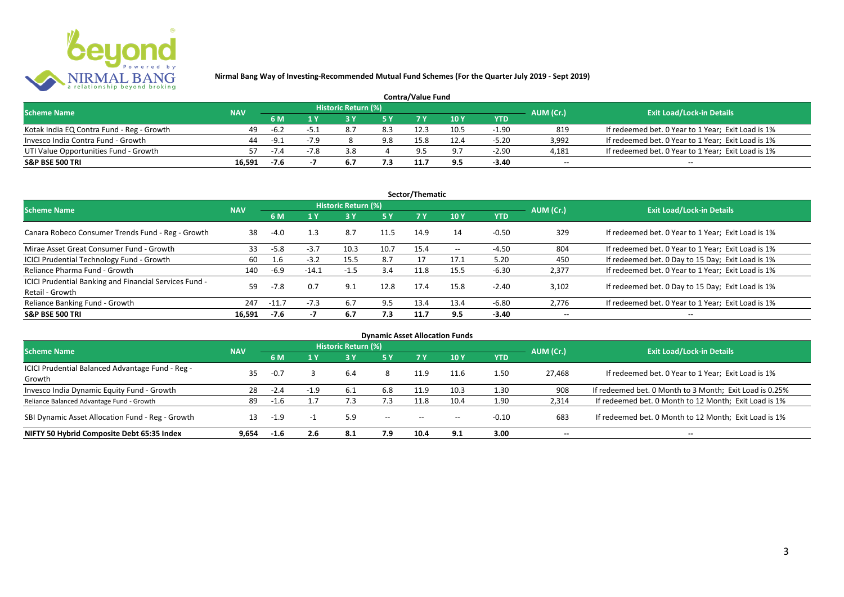

| <b>Contra/Value Fund</b>                  |            |        |        |                     |     |      |      |         |           |                                                    |  |  |
|-------------------------------------------|------------|--------|--------|---------------------|-----|------|------|---------|-----------|----------------------------------------------------|--|--|
| <b>Scheme Name</b>                        | <b>NAV</b> |        |        | Historic Return (%) |     |      |      |         | AUM (Cr.) | <b>Exit Load/Lock-in Details</b>                   |  |  |
|                                           |            | 6 M    |        |                     |     |      | 10 Y | YTD     |           |                                                    |  |  |
| Kotak India EQ Contra Fund - Reg - Growth | 49         | -6.2   | -5.    |                     | 8.3 |      | 10.5 | $-1.90$ | 819       | If redeemed bet. 0 Year to 1 Year; Exit Load is 1% |  |  |
| Invesco India Contra Fund - Growth        | 44         | $-9.1$ | $-7.9$ |                     | 9.8 | 15.8 | 12.4 | $-5.20$ | 3.992     | If redeemed bet. 0 Year to 1 Year; Exit Load is 1% |  |  |
| UTI Value Opportunities Fund - Growth     |            | $-7.4$ |        | 3.8                 |     |      |      | $-2.90$ | 4,181     | If redeemed bet. 0 Year to 1 Year; Exit Load is 1% |  |  |
| <b>S&amp;P BSE 500 TRI</b>                | 16.591     | -7.6   |        |                     |     |      |      | -3.40   | $\sim$    | $\overline{\phantom{a}}$                           |  |  |

|                                                                           |            |         |         |                     |           | Sector/Thematic |                   |            |                          |                                                    |
|---------------------------------------------------------------------------|------------|---------|---------|---------------------|-----------|-----------------|-------------------|------------|--------------------------|----------------------------------------------------|
| <b>Scheme Name</b>                                                        | <b>NAV</b> |         |         | Historic Return (%) |           |                 |                   |            | AUM (Cr.)                | <b>Exit Load/Lock-in Details</b>                   |
|                                                                           |            | 6 M     | 1 Y     |                     | <b>5Y</b> | 7Y              | 10Y               | <b>YTD</b> |                          |                                                    |
| Canara Robeco Consumer Trends Fund - Reg - Growth                         | 38         | $-4.0$  | 1.3     | 8.7                 | 11.5      | 14.9            | 14                | $-0.50$    | 329                      | If redeemed bet. 0 Year to 1 Year; Exit Load is 1% |
| Mirae Asset Great Consumer Fund - Growth                                  | 33         | $-5.8$  | $-3.7$  | 10.3                | 10.7      | 15.4            | $\hspace{0.05cm}$ | -4.50      | 804                      | If redeemed bet. 0 Year to 1 Year; Exit Load is 1% |
| ICICI Prudential Technology Fund - Growth                                 | 60         | 1.6     | $-3.2$  | 15.5                | 8.7       |                 | 17.1              | 5.20       | 450                      | If redeemed bet. 0 Day to 15 Day; Exit Load is 1%  |
| Reliance Pharma Fund - Growth                                             | 140        | -6.9    | $-14.1$ | $-1.5$              | 3.4       | 11.8            | 15.5              | $-6.30$    | 2,377                    | If redeemed bet. 0 Year to 1 Year; Exit Load is 1% |
| ICICI Prudential Banking and Financial Services Fund -<br>Retail - Growth | 59         | $-7.8$  | 0.7     | 9.1                 | 12.8      | 17.4            | 15.8              | $-2.40$    | 3.102                    | If redeemed bet. 0 Day to 15 Day; Exit Load is 1%  |
| Reliance Banking Fund - Growth                                            | 247        | $-11.7$ | $-7.3$  | 6.7                 | 9.5       | 13.4            | 13.4              | $-6.80$    | 2,776                    | If redeemed bet. 0 Year to 1 Year; Exit Load is 1% |
| <b>S&amp;P BSE 500 TRI</b>                                                | 16.591     | $-7.6$  |         | 6.7                 | 7.3       | 11.7            | 9.5               | $-3.40$    | $\overline{\phantom{a}}$ | $- -$                                              |

|                                                            |            |        |        |                            |                          |       | <b>Dynamic Asset Allocation Funds</b> |            |                          |                                                         |
|------------------------------------------------------------|------------|--------|--------|----------------------------|--------------------------|-------|---------------------------------------|------------|--------------------------|---------------------------------------------------------|
| <b>Scheme Name</b>                                         | <b>NAV</b> |        |        | <b>Historic Return (%)</b> |                          |       |                                       |            | AUM (Cr.)                | <b>Exit Load/Lock-in Details</b>                        |
|                                                            |            | 6 M    | 1 Y    | 3 Y                        | 5 Y                      |       | 10Y                                   | <b>YTD</b> |                          |                                                         |
| ICICI Prudential Balanced Advantage Fund - Reg -<br>Growth | 35         | $-0.7$ |        | 6.4                        | 8                        | 11.9  | 11.6                                  | 1.50       | 27.468                   | If redeemed bet. 0 Year to 1 Year; Exit Load is 1%      |
| Invesco India Dynamic Equity Fund - Growth                 | 28         | $-2.4$ | $-1.9$ | 6.1                        | 6.8                      | 11.9  | 10.3                                  | 1.30       | 908                      | If redeemed bet. 0 Month to 3 Month; Exit Load is 0.25% |
| Reliance Balanced Advantage Fund - Growth                  | 89         | $-1.6$ |        | 1.5                        | 7.3                      | 11.8  | 10.4                                  | 1.90       | 2,314                    | If redeemed bet. 0 Month to 12 Month; Exit Load is 1%   |
| SBI Dynamic Asset Allocation Fund - Reg - Growth           | 13         | $-1.9$ |        | 5.9                        | $\hspace{0.05cm} \ldots$ | $- -$ | $- -$                                 | $-0.10$    | 683                      | If redeemed bet. 0 Month to 12 Month; Exit Load is 1%   |
| NIFTY 50 Hybrid Composite Debt 65:35 Index                 | 9.654      | $-1.6$ | 2.6    | 8.1                        | 7.9                      | 10.4  | 9.1                                   | 3.00       | $\overline{\phantom{a}}$ | $- -$                                                   |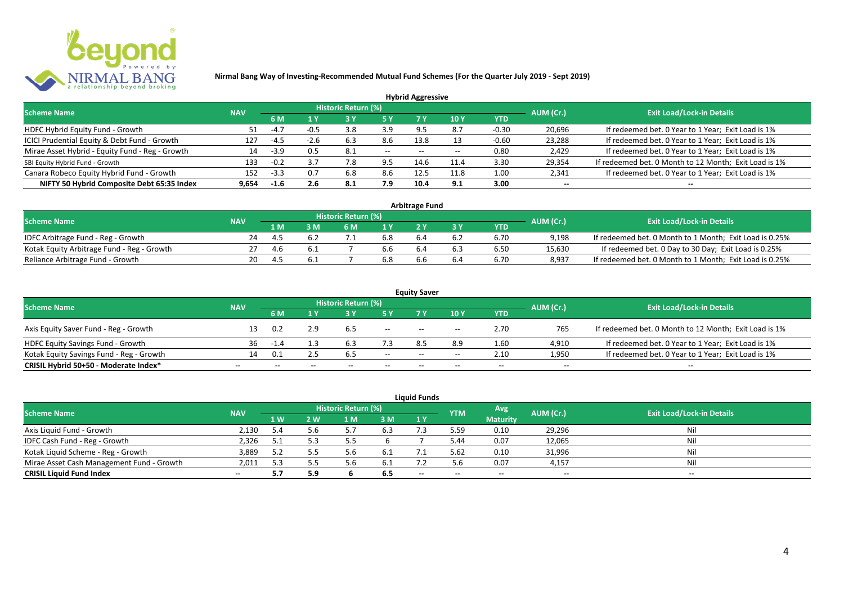

|                                                 |            |        |        |                            |       | <b>Hybrid Aggressive</b> |      |         |                          |                                                       |
|-------------------------------------------------|------------|--------|--------|----------------------------|-------|--------------------------|------|---------|--------------------------|-------------------------------------------------------|
| <b>Scheme Name</b>                              | <b>NAV</b> |        |        | <b>Historic Return (%)</b> |       |                          |      |         | AUM (Cr.)                | <b>Exit Load/Lock-in Details</b>                      |
|                                                 | 6 M        |        | 1 Y    |                            |       | 7 Y                      | 10Y  | YTD     |                          |                                                       |
| HDFC Hybrid Equity Fund - Growth                |            | $-4.7$ |        | 3.8                        | 3.9   |                          | 8.7  | $-0.30$ | 20,696                   | If redeemed bet. 0 Year to 1 Year; Exit Load is 1%    |
| ICICI Prudential Equity & Debt Fund - Growth    | 127        | $-4.5$ | $-2.6$ | 6.3                        | 8.6   | 13.8                     |      | $-0.60$ | 23,288                   | If redeemed bet. 0 Year to 1 Year; Exit Load is 1%    |
| Mirae Asset Hybrid - Equity Fund - Reg - Growth | 14         | -3.9   | 0.5    | 8.1                        | $- -$ | $- -$                    |      | 0.80    | 2,429                    | If redeemed bet. 0 Year to 1 Year; Exit Load is 1%    |
| SBI Equity Hybrid Fund - Growth                 | 133        | $-0.2$ |        | 7.8                        | 9.5   | 14.6                     | 11.4 | 3.30    | 29,354                   | If redeemed bet. 0 Month to 12 Month; Exit Load is 1% |
| Canara Robeco Equity Hybrid Fund - Growth       | 152        | $-3.3$ | 0.7    | 6.8                        | 8.6   |                          | 11.8 | 1.00    | 2,341                    | If redeemed bet. 0 Year to 1 Year; Exit Load is 1%    |
| NIFTY 50 Hybrid Composite Debt 65:35 Index      | 9,654      | $-1.6$ | 2.6    | -8.1                       | 7.9   | 10.4                     | 9.1  | 3.00    | $\overline{\phantom{a}}$ | $- -$                                                 |

|                                            |            |                     |     |     | <b>Arbitrage Fund</b> |     |            |                                  |                                                         |
|--------------------------------------------|------------|---------------------|-----|-----|-----------------------|-----|------------|----------------------------------|---------------------------------------------------------|
| <b>Scheme Name</b>                         |            | Historic Return (%) |     |     |                       |     | AUM (Cr.)  | <b>Exit Load/Lock-in Details</b> |                                                         |
|                                            | <b>NAV</b> | 1 M                 | 6 M |     |                       |     | <b>YTD</b> |                                  |                                                         |
| IDFC Arbitrage Fund - Reg - Growth         | 24         | 4.5                 |     | 6.8 |                       | 6.2 | 6.70       | 9.198                            | If redeemed bet. 0 Month to 1 Month; Exit Load is 0.25% |
| Kotak Equity Arbitrage Fund - Reg - Growth |            | 4.6                 |     | 6.b | 6.4                   | 6.3 | 6.50       | 15,630                           | If redeemed bet. 0 Day to 30 Day; Exit Load is 0.25%    |
| Reliance Arbitrage Fund - Growth           | 20         |                     |     | 6.8 |                       | b.4 | 6.70       | 8.937                            | If redeemed bet. 0 Month to 1 Month; Exit Load is 0.25% |

|                                          |                          |      |              |                     |                          | <b>Equity Saver</b>                   |                                       |                          |                          |                                                       |
|------------------------------------------|--------------------------|------|--------------|---------------------|--------------------------|---------------------------------------|---------------------------------------|--------------------------|--------------------------|-------------------------------------------------------|
| <b>Scheme Name</b>                       | <b>NAV</b>               |      |              | Historic Return (%) |                          |                                       |                                       |                          | AUM (Cr.)                | <b>Exit Load/Lock-in Details</b>                      |
|                                          |                          | 6 M  |              |                     |                          |                                       | 10 Y                                  | YTD                      |                          |                                                       |
| Axis Equity Saver Fund - Reg - Growth    |                          | 0.2  |              | 6.5                 | $\overline{\phantom{a}}$ | $- -$                                 | $\hspace{0.05cm}$ – $\hspace{0.05cm}$ | 2.70                     | 765                      | If redeemed bet. 0 Month to 12 Month; Exit Load is 1% |
| HDFC Equity Savings Fund - Growth        | 36                       | -1.4 |              |                     |                          | 85                                    | 8.9                                   | 1.60                     | 4,910                    | If redeemed bet. 0 Year to 1 Year; Exit Load is 1%    |
| Kotak Equity Savings Fund - Reg - Growth | 1∆                       | 0.1  |              |                     | $- -$                    | $\hspace{0.05cm}$ – $\hspace{0.05cm}$ | $- -$                                 | 2.10                     | 1,950                    | If redeemed bet. 0 Year to 1 Year; Exit Load is 1%    |
| CRISIL Hybrid 50+50 - Moderate Index*    | $\overline{\phantom{a}}$ |      | $\mathbf{m}$ | $\qquad \qquad$     | $\overline{\phantom{a}}$ | $- -$                                 | $\overline{\phantom{a}}$              | $\overline{\phantom{a}}$ | $\overline{\phantom{a}}$ | $\overline{\phantom{a}}$                              |

|                                           |            |      |     |                     |      | <b>Liquid Funds</b> |            |                 |                          |                                  |
|-------------------------------------------|------------|------|-----|---------------------|------|---------------------|------------|-----------------|--------------------------|----------------------------------|
| <b>Scheme Name</b>                        | <b>NAV</b> |      |     | Historic Return (%) |      |                     | <b>YTM</b> | Avg             | AUM (Cr.)                | <b>Exit Load/Lock-in Details</b> |
|                                           |            | 1 W  | 2 W | 1 M                 | 3 M  | 1Y                  |            | <b>Maturity</b> |                          |                                  |
| Axis Liquid Fund - Growth                 | 2,130      | 5.4  | 5.6 |                     | 6.3  |                     | 5.59       | 0.10            | 29,296                   | Nil                              |
| IDFC Cash Fund - Reg - Growth             | 2,326      | -5.1 | 5.3 |                     |      |                     | 5.44       | 0.07            | 12,065                   | Nil                              |
| Kotak Liquid Scheme - Reg - Growth        | 3,889      | 5.2  |     |                     | -6.1 |                     | 5.62       | 0.10            | 31,996                   | Nil                              |
| Mirae Asset Cash Management Fund - Growth | 2,011      | 5.3  |     |                     | -6.1 |                     | 5.6        | 0.07            | 4,157                    | Nil                              |
| <b>CRISIL Liquid Fund Index</b>           | $- -$      | 5.7  | 5.9 |                     | 6.5  | $- -$               | $- -$      | $- -$           | $\overline{\phantom{a}}$ | $- -$                            |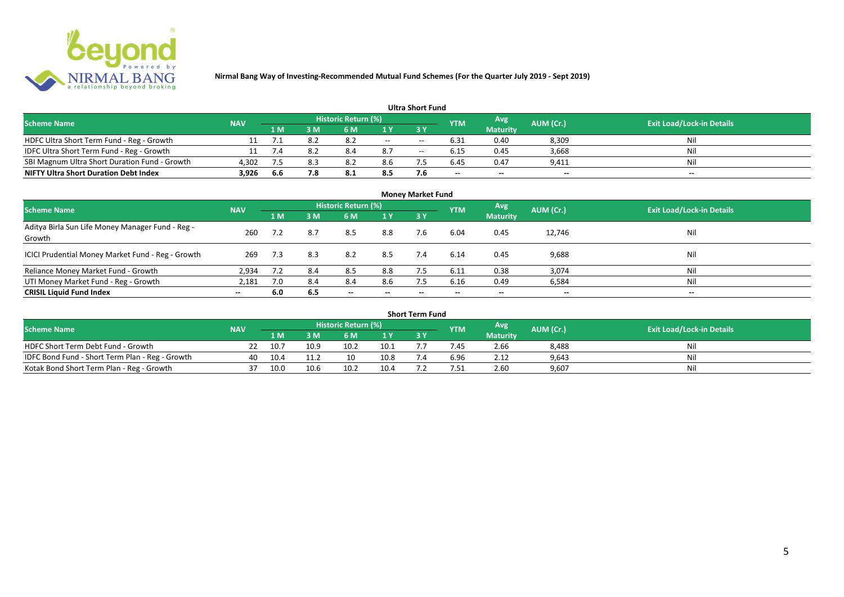

|                                               |            |      |     |                            |     | <b>Ultra Short Fund</b> |                          |                          |                          |                                  |
|-----------------------------------------------|------------|------|-----|----------------------------|-----|-------------------------|--------------------------|--------------------------|--------------------------|----------------------------------|
| <b>Scheme Name</b>                            | <b>NAV</b> |      |     | <b>Historic Return (%)</b> |     |                         | <b>YTM</b>               | Avg.                     | AUM (Cr.)                | <b>Exit Load/Lock-in Details</b> |
|                                               |            | 1 M. | 3 M | 6 M                        |     | 3 Y                     |                          | <b>Maturity</b>          |                          |                                  |
| HDFC Ultra Short Term Fund - Reg - Growth     |            | 7.1  |     | 8.2                        | $-$ | $- -$                   | 6.31                     | 0.40                     | 8,309                    | Nil                              |
| IDFC Ultra Short Term Fund - Reg - Growth     |            | 7.4  |     | 8.4                        | 8.7 | $- -$                   | 6.15                     | 0.45                     | 3,668                    | Nil                              |
| SBI Magnum Ultra Short Duration Fund - Growth | 4,302      | 7.5  | 8.3 | 8.2                        | 8.6 |                         | 6.45                     | 0.47                     | 9,411                    | Nil                              |
| <b>NIFTY Ultra Short Duration Debt Index</b>  | 3,926      | 6.6  | 7.8 | 8.1                        | 8.5 | 7.6                     | $\overline{\phantom{a}}$ | $\overline{\phantom{a}}$ | $\overline{\phantom{a}}$ | $\overline{\phantom{a}}$         |

|                                                            |            |     |     |                            |                          | <b>Money Market Fund</b> |            |                 |                          |                                  |
|------------------------------------------------------------|------------|-----|-----|----------------------------|--------------------------|--------------------------|------------|-----------------|--------------------------|----------------------------------|
| <b>Scheme Name</b>                                         | <b>NAV</b> |     |     | <b>Historic Return (%)</b> |                          |                          | <b>YTM</b> | Avg             | AUM (Cr.)                | <b>Exit Load/Lock-in Details</b> |
|                                                            |            | 1 M | 3M  | 6 M                        | 1 Y                      | <b>3Y</b>                |            | <b>Maturity</b> |                          |                                  |
| Aditya Birla Sun Life Money Manager Fund - Reg -<br>Growth | 260        |     | 8.7 | 8.5                        | 8.8                      | 7.6                      | 6.04       | 0.45            | 12,746                   | Nil                              |
| ICICI Prudential Money Market Fund - Reg - Growth          | 269        | 7.3 | 8.3 | 8.2                        | 8.5                      | 7.4                      | 6.14       | 0.45            | 9,688                    | Nil                              |
| Reliance Money Market Fund - Growth                        | 2,934      | 7.2 | 8.4 | 8.5                        | 8.8                      |                          | 6.11       | 0.38            | 3,074                    | Nil                              |
| UTI Money Market Fund - Reg - Growth                       | 2,181      | 7.0 | 8.4 | 8.4                        | 8.6                      | 7.5                      | 6.16       | 0.49            | 6,584                    | Nil                              |
| <b>CRISIL Liquid Fund Index</b>                            | $- -$      | 6.0 | 6.5 | $\overline{\phantom{a}}$   | $\overline{\phantom{a}}$ | $\!-$                    | $\!-$      | $\sim$          | $\overline{\phantom{a}}$ | $\overline{\phantom{a}}$         |

|                                                 |            |      |      |                     |      | Short Term Fund |            |                 |           |                                  |
|-------------------------------------------------|------------|------|------|---------------------|------|-----------------|------------|-----------------|-----------|----------------------------------|
| <b>Scheme Name</b>                              | <b>NAV</b> |      |      | Historic Return (%) |      |                 | <b>YTM</b> | Avg             | AUM (Cr.) | <b>Exit Load/Lock-in Details</b> |
|                                                 |            | 1 M  |      | 6 M                 | 1 Y  |                 |            | <b>Maturity</b> |           |                                  |
| HDFC Short Term Debt Fund - Growth              |            | 10.7 | 10.9 | 10.2                | 10.1 |                 | /.45       | 2.66            | 8,488     | Nil                              |
| IDFC Bond Fund - Short Term Plan - Reg - Growth | 40         | 10.4 |      | 10                  | 10.8 |                 | 6.96       | 2.12            | 9,643     | Nil                              |
| Kotak Bond Short Term Plan - Reg - Growth       |            | 10.0 | 10.6 | 10.2                | 10.4 |                 | '.51       | 2.60            | 9,607     | Nil                              |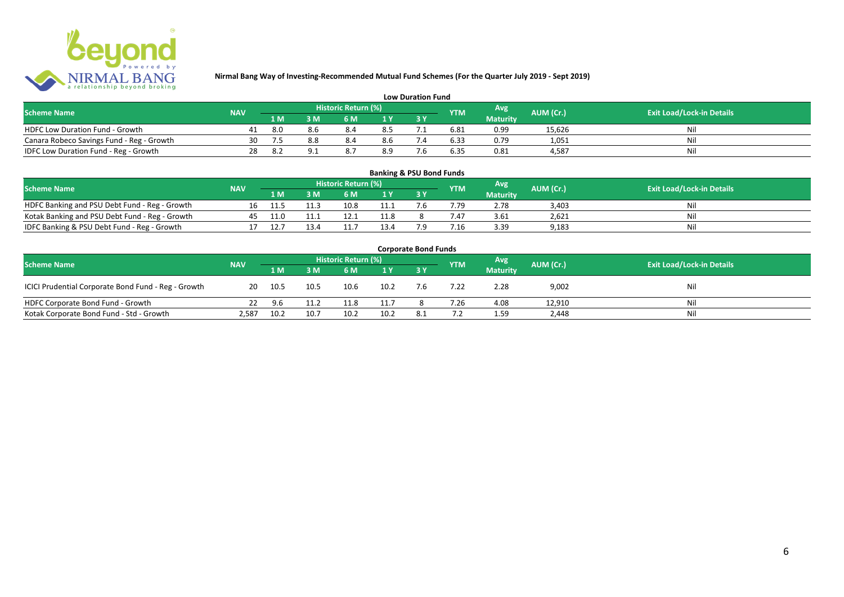

|                                           |            |     |                     |     | <b>Low Duration Fund</b> |            |                 |           |                                  |
|-------------------------------------------|------------|-----|---------------------|-----|--------------------------|------------|-----------------|-----------|----------------------------------|
| <b>Scheme Name</b>                        | <b>NAV</b> |     | Historic Return (%) |     |                          | <b>YTM</b> | Avg             | AUM (Cr.) | <b>Exit Load/Lock-in Details</b> |
|                                           |            | 1 M | 6 M                 |     |                          |            | <b>Maturity</b> |           |                                  |
| <b>HDFC Low Duration Fund - Growth</b>    | 41         | 8.0 |                     | 8.5 |                          | 6.81       | 0.99            | 15,626    | Ni                               |
| Canara Robeco Savings Fund - Reg - Growth | 30         |     | 8.4                 | 8.6 |                          | 6.33       | 0.79            | 1,051     | Ni                               |
| IDFC Low Duration Fund - Reg - Growth     | 28         |     |                     | 8.9 |                          | 6.35       | 0.81            | 4.587     | Ni                               |

#### **1 M 3 M 6 M 1 Y 3 Y** Notak Banking and PSU Debt Fund - Reg - Growth 16 11.5 11.3 10.8 11.1 7.6 7.79 2.78 3,403 Nil<br>
Kotak Banking and PSU Debt Fund - Reg - Growth 45 11.0 11.1 12.1 11.8 8 7.47 3.61 2,621 Nil Notak Banking and PSU Debt Fund - Reg - Growth <br>
17 12.7 13.4 11.7 13.4 7.9 7.16 3.39 9.183 11.8 9.183 IDFC Banking & PSU Debt Fund - Reg - Growth 17 12.7 13.4 11.7 13.4 7.9 7.16 3.39 9,183 **Banking & PSU Bond Funds Scheme Name NAV REGISTER AUM (Cr.) AUM (Cr.)** Exit Load/Lock-in Details **Historic Return (%) Maturity**

|                                                     |            |        |      |                     |                | <b>Corporate Bond Funds</b> |            |                 |           |                                  |
|-----------------------------------------------------|------------|--------|------|---------------------|----------------|-----------------------------|------------|-----------------|-----------|----------------------------------|
| <b>Scheme Name</b>                                  | <b>NAV</b> |        |      | Historic Return (%) |                |                             | <b>YTM</b> | Avg             | AUM (Cr.) | <b>Exit Load/Lock-in Details</b> |
|                                                     |            | 1 M    | 3M   | 6 M                 | 1 <sup>Y</sup> |                             |            | <b>Maturity</b> |           |                                  |
| ICICI Prudential Corporate Bond Fund - Reg - Growth | 20         | - 10.5 | 10.5 | 10.6                | 10.2           | 7.6                         | 7.22       | 2.28            | 9,002     | Nil                              |
| HDFC Corporate Bond Fund - Growth                   | 22.        | 9.6    | 11.2 | 11.8                | 11.7           |                             | 7.26       | 4.08            | 12,910    | Nil                              |
| Kotak Corporate Bond Fund - Std - Growth            | 2.587      | 10.2   | 10.7 | 10.2                | 10.2           |                             |            | 1.59            | 2,448     | Nil                              |